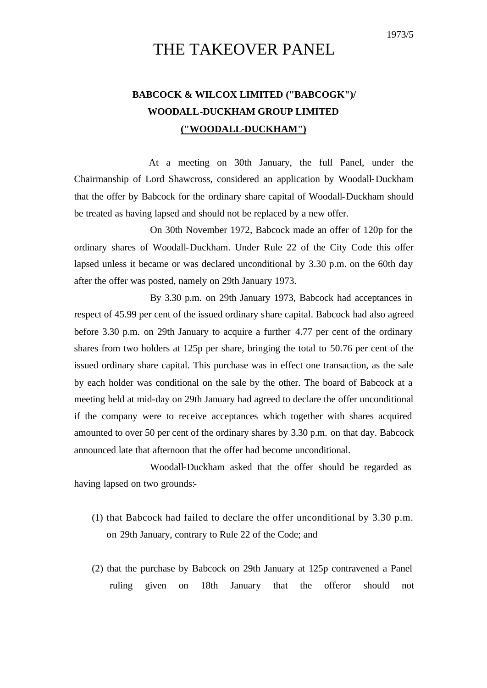# THE TAKEOVER PANEL

## **BABCOCK & WILCOX LIMITED ("BABCOGK")/ WOODALL-DUCKHAM GROUP LIMITED ("WOODALL-DUCKHAM")**

At a meeting on 30th January, the full Panel, under the Chairmanship of Lord Shawcross, considered an application by Woodall-Duckham that the offer by Babcock for the ordinary share capital of Woodall-Duckham should be treated as having lapsed and should not be replaced by a new offer.

On 30th November 1972, Babcock made an offer of 120p for the ordinary shares of Woodall-Duckham. Under Rule 22 of the City Code this offer lapsed unless it became or was declared unconditional by 3.30 p.m. on the 60th day after the offer was posted, namely on 29th January 1973.

By 3.30 p.m. on 29th January 1973, Babcock had acceptances in respect of 45.99 per cent of the issued ordinary share capital. Babcock had also agreed before 3.30 p.m. on 29th January to acquire a further 4.77 per cent of the ordinary shares from two holders at 125p per share, bringing the total to 50.76 per cent of the issued ordinary share capital. This purchase was in effect one transaction, as the sale by each holder was conditional on the sale by the other. The board of Babcock at a meeting held at mid-day on 29th January had agreed to declare the offer unconditional if the company were to receive acceptances which together with shares acquired amounted to over 50 per cent of the ordinary shares by 3.30 p.m. on that day. Babcock announced late that afternoon that the offer had become unconditional.

Woodall-Duckham asked that the offer should be regarded as having lapsed on two grounds:-

- (1) that Babcock had failed to declare the offer unconditional by 3.30 p.m. on 29th January, contrary to Rule 22 of the Code; and
- (2) that the purchase by Babcock on 29th January at 125p contravened a Panel ruling given on 18th January that the offeror should not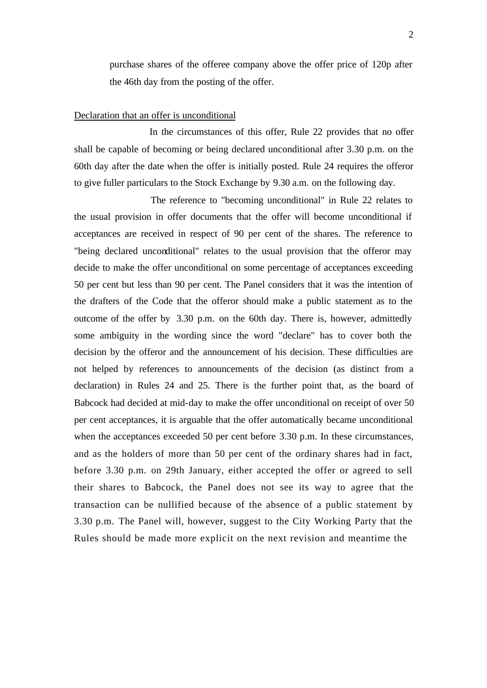purchase shares of the offeree company above the offer price of 120p after the 46th day from the posting of the offer.

#### Declaration that an offer is unconditional

In the circumstances of this offer, Rule 22 provides that no offer shall be capable of becoming or being declared unconditional after 3.30 p.m. on the 60th day after the date when the offer is initially posted. Rule 24 requires the offeror to give fuller particulars to the Stock Exchange by 9.30 a.m. on the following day.

The reference to "becoming unconditional" in Rule 22 relates to the usual provision in offer documents that the offer will become unconditional if acceptances are received in respect of 90 per cent of the shares. The reference to "being declared unconditional" relates to the usual provision that the offeror may decide to make the offer unconditional on some percentage of acceptances exceeding 50 per cent but less than 90 per cent. The Panel considers that it was the intention of the drafters of the Code that the offeror should make a public statement as to the outcome of the offer by 3.30 p.m. on the 60th day. There is, however, admittedly some ambiguity in the wording since the word "declare" has to cover both the decision by the offeror and the announcement of his decision. These difficulties are not helped by references to announcements of the decision (as distinct from a declaration) in Rules 24 and 25. There is the further point that, as the board of Babcock had decided at mid-day to make the offer unconditional on receipt of over 50 per cent acceptances, it is arguable that the offer automatically became unconditional when the acceptances exceeded 50 per cent before 3.30 p.m. In these circumstances, and as the holders of more than 50 per cent of the ordinary shares had in fact, before 3.30 p.m. on 29th January, either accepted the offer or agreed to sell their shares to Babcock, the Panel does not see its way to agree that the transaction can be nullified because of the absence of a public statement by 3.30 p.m. The Panel will, however, suggest to the City Working Party that the Rules should be made more explicit on the next revision and meantime the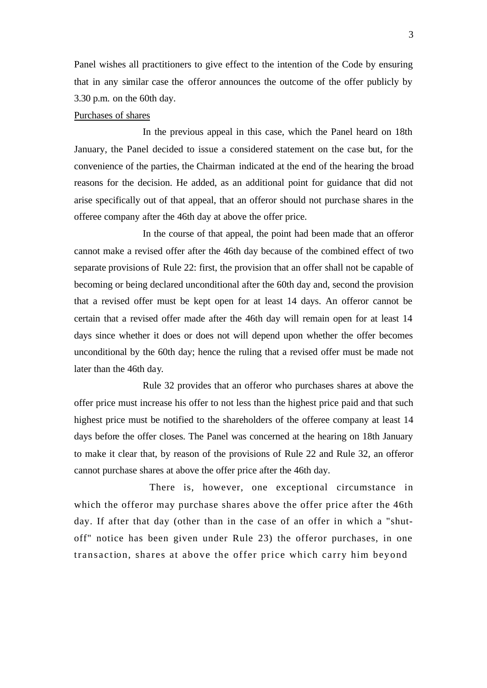Panel wishes all practitioners to give effect to the intention of the Code by ensuring that in any similar case the offeror announces the outcome of the offer publicly by 3.30 p.m. on the 60th day.

### Purchases of shares

In the previous appeal in this case, which the Panel heard on 18th January, the Panel decided to issue a considered statement on the case but, for the convenience of the parties, the Chairman indicated at the end of the hearing the broad reasons for the decision. He added, as an additional point for guidance that did not arise specifically out of that appeal, that an offeror should not purchase shares in the offeree company after the 46th day at above the offer price.

In the course of that appeal, the point had been made that an offeror cannot make a revised offer after the 46th day because of the combined effect of two separate provisions of Rule 22: first, the provision that an offer shall not be capable of becoming or being declared unconditional after the 60th day and, second the provision that a revised offer must be kept open for at least 14 days. An offeror cannot be certain that a revised offer made after the 46th day will remain open for at least 14 days since whether it does or does not will depend upon whether the offer becomes unconditional by the 60th day; hence the ruling that a revised offer must be made not later than the 46th day.

Rule 32 provides that an offeror who purchases shares at above the offer price must increase his offer to not less than the highest price paid and that such highest price must be notified to the shareholders of the offeree company at least 14 days before the offer closes. The Panel was concerned at the hearing on 18th January to make it clear that, by reason of the provisions of Rule 22 and Rule 32, an offeror cannot purchase shares at above the offer price after the 46th day.

There is, however, one exceptional circumstance in which the offeror may purchase shares above the offer price after the 46th day. If after that day (other than in the case of an offer in which a "shutoff" notice has been given under Rule 23) the offeror purchases, in one transaction, shares at above the offer price which carry him beyond